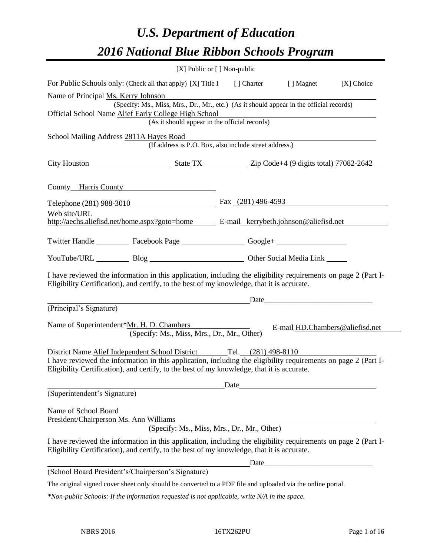# *U.S. Department of Education 2016 National Blue Ribbon Schools Program*

|                                                                                                                                                                                                                                                                                     | [X] Public or [] Non-public                                                              |                    |                                 |            |
|-------------------------------------------------------------------------------------------------------------------------------------------------------------------------------------------------------------------------------------------------------------------------------------|------------------------------------------------------------------------------------------|--------------------|---------------------------------|------------|
| For Public Schools only: (Check all that apply) [X] Title I [] Charter                                                                                                                                                                                                              |                                                                                          |                    | [ ] Magnet                      | [X] Choice |
| Name of Principal Ms. Kerry Johnson<br>Official School Name Alief Early College High School                                                                                                                                                                                         | (Specify: Ms., Miss, Mrs., Dr., Mr., etc.) (As it should appear in the official records) |                    |                                 |            |
|                                                                                                                                                                                                                                                                                     | (As it should appear in the official records)                                            |                    |                                 |            |
| School Mailing Address 2811A Hayes Road                                                                                                                                                                                                                                             | (If address is P.O. Box, also include street address.)                                   |                    |                                 |            |
| City Houston State TX Zip Code+4 (9 digits total) 77082-2642                                                                                                                                                                                                                        |                                                                                          |                    |                                 |            |
| County Harris County                                                                                                                                                                                                                                                                |                                                                                          |                    |                                 |            |
| Telephone (281) 988-3010                                                                                                                                                                                                                                                            |                                                                                          | Fax (281) 496-4593 |                                 |            |
| Web site/URL<br>http://aechs.aliefisd.net/home.aspx?goto=home E-mail_kerrybeth.johnson@aliefisd.net                                                                                                                                                                                 |                                                                                          |                    |                                 |            |
| Twitter Handle ___________ Facebook Page ___________________ Google+ ___________                                                                                                                                                                                                    |                                                                                          |                    |                                 |            |
| YouTube/URL Blog Blog Cher Social Media Link                                                                                                                                                                                                                                        |                                                                                          |                    |                                 |            |
| I have reviewed the information in this application, including the eligibility requirements on page 2 (Part I-<br>Eligibility Certification), and certify, to the best of my knowledge, that it is accurate.                                                                        |                                                                                          |                    |                                 |            |
|                                                                                                                                                                                                                                                                                     |                                                                                          | Date               |                                 |            |
| (Principal's Signature)                                                                                                                                                                                                                                                             |                                                                                          |                    |                                 |            |
| Name of Superintendent*Mr. H. D. Chambers                                                                                                                                                                                                                                           | (Specify: Ms., Miss, Mrs., Dr., Mr., Other)                                              |                    | E-mail HD.Chambers@aliefisd.net |            |
| District Name Alief Independent School District Tel. (281) 498-8110<br>I have reviewed the information in this application, including the eligibility requirements on page 2 (Part I-<br>Eligibility Certification), and certify, to the best of my knowledge, that it is accurate. |                                                                                          |                    |                                 |            |
| (Superintendent's Signature)                                                                                                                                                                                                                                                        |                                                                                          |                    |                                 |            |
| Name of School Board<br>President/Chairperson Ms. Ann Williams                                                                                                                                                                                                                      | (Specify: Ms., Miss, Mrs., Dr., Mr., Other)                                              |                    |                                 |            |
| I have reviewed the information in this application, including the eligibility requirements on page 2 (Part I-<br>Eligibility Certification), and certify, to the best of my knowledge, that it is accurate.                                                                        |                                                                                          |                    |                                 |            |
|                                                                                                                                                                                                                                                                                     |                                                                                          |                    |                                 |            |
| (School Board President's/Chairperson's Signature)                                                                                                                                                                                                                                  |                                                                                          |                    |                                 |            |
| The original signed cover sheet only should be converted to a PDF file and uploaded via the online portal.                                                                                                                                                                          |                                                                                          |                    |                                 |            |

*\*Non-public Schools: If the information requested is not applicable, write N/A in the space.*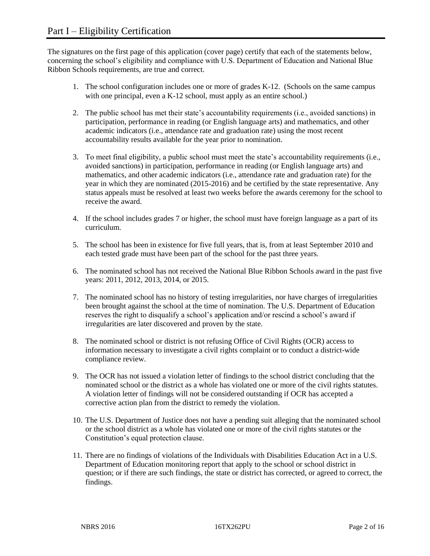The signatures on the first page of this application (cover page) certify that each of the statements below, concerning the school's eligibility and compliance with U.S. Department of Education and National Blue Ribbon Schools requirements, are true and correct.

- 1. The school configuration includes one or more of grades K-12. (Schools on the same campus with one principal, even a K-12 school, must apply as an entire school.)
- 2. The public school has met their state's accountability requirements (i.e., avoided sanctions) in participation, performance in reading (or English language arts) and mathematics, and other academic indicators (i.e., attendance rate and graduation rate) using the most recent accountability results available for the year prior to nomination.
- 3. To meet final eligibility, a public school must meet the state's accountability requirements (i.e., avoided sanctions) in participation, performance in reading (or English language arts) and mathematics, and other academic indicators (i.e., attendance rate and graduation rate) for the year in which they are nominated (2015-2016) and be certified by the state representative. Any status appeals must be resolved at least two weeks before the awards ceremony for the school to receive the award.
- 4. If the school includes grades 7 or higher, the school must have foreign language as a part of its curriculum.
- 5. The school has been in existence for five full years, that is, from at least September 2010 and each tested grade must have been part of the school for the past three years.
- 6. The nominated school has not received the National Blue Ribbon Schools award in the past five years: 2011, 2012, 2013, 2014, or 2015.
- 7. The nominated school has no history of testing irregularities, nor have charges of irregularities been brought against the school at the time of nomination. The U.S. Department of Education reserves the right to disqualify a school's application and/or rescind a school's award if irregularities are later discovered and proven by the state.
- 8. The nominated school or district is not refusing Office of Civil Rights (OCR) access to information necessary to investigate a civil rights complaint or to conduct a district-wide compliance review.
- 9. The OCR has not issued a violation letter of findings to the school district concluding that the nominated school or the district as a whole has violated one or more of the civil rights statutes. A violation letter of findings will not be considered outstanding if OCR has accepted a corrective action plan from the district to remedy the violation.
- 10. The U.S. Department of Justice does not have a pending suit alleging that the nominated school or the school district as a whole has violated one or more of the civil rights statutes or the Constitution's equal protection clause.
- 11. There are no findings of violations of the Individuals with Disabilities Education Act in a U.S. Department of Education monitoring report that apply to the school or school district in question; or if there are such findings, the state or district has corrected, or agreed to correct, the findings.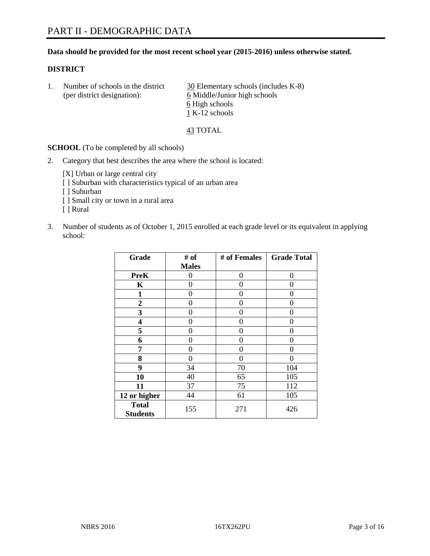#### **Data should be provided for the most recent school year (2015-2016) unless otherwise stated.**

#### **DISTRICT**

1. Number of schools in the district  $\frac{30}{20}$  Elementary schools (includes K-8) (per district designation): 6 Middle/Junior high schools 6 High schools 1 K-12 schools

43 TOTAL

**SCHOOL** (To be completed by all schools)

2. Category that best describes the area where the school is located:

[X] Urban or large central city [ ] Suburban with characteristics typical of an urban area [ ] Suburban

- [ ] Small city or town in a rural area
- [ ] Rural
- 3. Number of students as of October 1, 2015 enrolled at each grade level or its equivalent in applying school:

| Grade                           | # of         | # of Females | <b>Grade Total</b> |
|---------------------------------|--------------|--------------|--------------------|
|                                 | <b>Males</b> |              |                    |
| <b>PreK</b>                     | 0            | $\theta$     | $\theta$           |
| K                               | 0            | 0            | $\theta$           |
| 1                               | 0            | 0            | $\Omega$           |
| $\boldsymbol{2}$                | 0            | 0            | 0                  |
| 3                               | 0            | 0            | 0                  |
| 4                               | 0            | 0            | $\theta$           |
| 5                               | 0            | 0            | 0                  |
| 6                               | 0            | 0            | $\theta$           |
| 7                               | 0            | 0            | 0                  |
| 8                               | 0            | 0            | 0                  |
| 9                               | 34           | 70           | 104                |
| 10                              | 40           | 65           | 105                |
| 11                              | 37           | 75           | 112                |
| 12 or higher                    | 44           | 61           | 105                |
| <b>Total</b><br><b>Students</b> | 155          | 271          | 426                |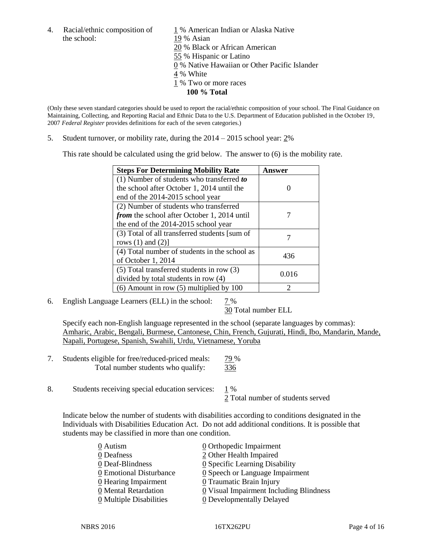the school: 19 % Asian

4. Racial/ethnic composition of  $1\%$  American Indian or Alaska Native 20 % Black or African American 55 % Hispanic or Latino 0 % Native Hawaiian or Other Pacific Islander 4 % White 1 % Two or more races **100 % Total**

(Only these seven standard categories should be used to report the racial/ethnic composition of your school. The Final Guidance on Maintaining, Collecting, and Reporting Racial and Ethnic Data to the U.S. Department of Education published in the October 19, 2007 *Federal Register* provides definitions for each of the seven categories.)

5. Student turnover, or mobility rate, during the 2014 – 2015 school year: 2%

This rate should be calculated using the grid below. The answer to (6) is the mobility rate.

| <b>Steps For Determining Mobility Rate</b>         | Answer |  |
|----------------------------------------------------|--------|--|
| $(1)$ Number of students who transferred to        |        |  |
| the school after October 1, 2014 until the         |        |  |
| end of the 2014-2015 school year                   |        |  |
| (2) Number of students who transferred             |        |  |
| <i>from</i> the school after October 1, 2014 until |        |  |
| the end of the 2014-2015 school year               |        |  |
| (3) Total of all transferred students [sum of      |        |  |
| rows $(1)$ and $(2)$ ]                             |        |  |
| (4) Total number of students in the school as      | 436    |  |
| of October 1, 2014                                 |        |  |
| (5) Total transferred students in row (3)          | 0.016  |  |
| divided by total students in row (4)               |        |  |
| $(6)$ Amount in row $(5)$ multiplied by 100        |        |  |

6. English Language Learners (ELL) in the school:  $7\%$ 

30 Total number ELL

Specify each non-English language represented in the school (separate languages by commas): Amharic, Arabic, Bengali, Burmese, Cantonese, Chin, French, Gujurati, Hindi, Ibo, Mandarin, Mande, Napali, Portugese, Spanish, Swahili, Urdu, Vietnamese, Yoruba

- 7. Students eligible for free/reduced-priced meals: 79 % Total number students who qualify: 336
- 8. Students receiving special education services: 1 %

2 Total number of students served

Indicate below the number of students with disabilities according to conditions designated in the Individuals with Disabilities Education Act. Do not add additional conditions. It is possible that students may be classified in more than one condition.

| 0 Autism                | 0 Orthopedic Impairment                       |
|-------------------------|-----------------------------------------------|
| 0 Deafness              | 2 Other Health Impaired                       |
| 0 Deaf-Blindness        | $\underline{0}$ Specific Learning Disability  |
| 0 Emotional Disturbance | $\underline{0}$ Speech or Language Impairment |
| 0 Hearing Impairment    | 0 Traumatic Brain Injury                      |
| 0 Mental Retardation    | 0 Visual Impairment Including Blindness       |
| 0 Multiple Disabilities | 0 Developmentally Delayed                     |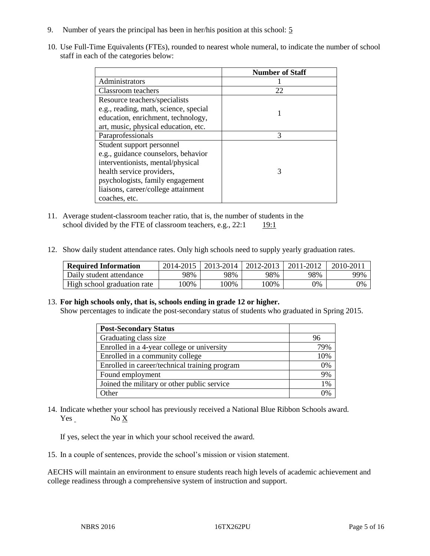- 9. Number of years the principal has been in her/his position at this school: 5
- 10. Use Full-Time Equivalents (FTEs), rounded to nearest whole numeral, to indicate the number of school staff in each of the categories below:

|                                       | <b>Number of Staff</b> |
|---------------------------------------|------------------------|
| Administrators                        |                        |
| Classroom teachers                    | 22                     |
| Resource teachers/specialists         |                        |
| e.g., reading, math, science, special |                        |
| education, enrichment, technology,    |                        |
| art, music, physical education, etc.  |                        |
| Paraprofessionals                     | 3                      |
| Student support personnel             |                        |
| e.g., guidance counselors, behavior   |                        |
| interventionists, mental/physical     |                        |
| health service providers,             | 3                      |
| psychologists, family engagement      |                        |
| liaisons, career/college attainment   |                        |
| coaches, etc.                         |                        |

- 11. Average student-classroom teacher ratio, that is, the number of students in the school divided by the FTE of classroom teachers, e.g.,  $22:1 \qquad 19:1$
- 12. Show daily student attendance rates. Only high schools need to supply yearly graduation rates.

| <b>Required Information</b> | 2014-2015 | 2013-2014 1 | 2012-2013 | 2011-2012 | $2010 - 201$ . |
|-----------------------------|-----------|-------------|-----------|-----------|----------------|
| Daily student attendance    | 98%       | 98%         | 98%       | 98%       | 99%            |
| High school graduation rate | 00%       | 00%         | 00%       | 9%        | 0%             |

#### 13. **For high schools only, that is, schools ending in grade 12 or higher.**

Show percentages to indicate the post-secondary status of students who graduated in Spring 2015.

| <b>Post-Secondary Status</b>                  |     |
|-----------------------------------------------|-----|
| Graduating class size                         | 96  |
| Enrolled in a 4-year college or university    | 79% |
| Enrolled in a community college               | 10% |
| Enrolled in career/technical training program | 0%  |
| Found employment                              | 9%  |
| Joined the military or other public service   | 1%  |
| Other                                         |     |

14. Indicate whether your school has previously received a National Blue Ribbon Schools award. Yes No X

If yes, select the year in which your school received the award.

15. In a couple of sentences, provide the school's mission or vision statement.

AECHS will maintain an environment to ensure students reach high levels of academic achievement and college readiness through a comprehensive system of instruction and support.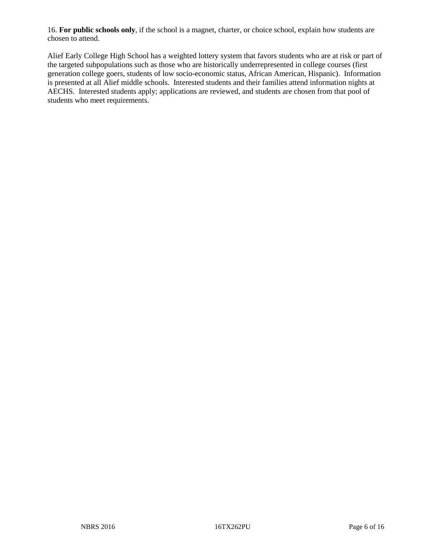16. **For public schools only**, if the school is a magnet, charter, or choice school, explain how students are chosen to attend.

Alief Early College High School has a weighted lottery system that favors students who are at risk or part of the targeted subpopulations such as those who are historically underrepresented in college courses (first generation college goers, students of low socio-economic status, African American, Hispanic). Information is presented at all Alief middle schools. Interested students and their families attend information nights at AECHS. Interested students apply; applications are reviewed, and students are chosen from that pool of students who meet requirements.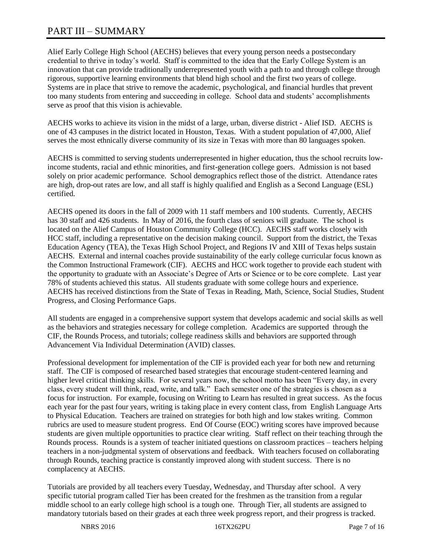# PART III – SUMMARY

Alief Early College High School (AECHS) believes that every young person needs a postsecondary credential to thrive in today's world. Staff is committed to the idea that the Early College System is an innovation that can provide traditionally underrepresented youth with a path to and through college through rigorous, supportive learning environments that blend high school and the first two years of college. Systems are in place that strive to remove the academic, psychological, and financial hurdles that prevent too many students from entering and succeeding in college. School data and students' accomplishments serve as proof that this vision is achievable.

AECHS works to achieve its vision in the midst of a large, urban, diverse district - Alief ISD. AECHS is one of 43 campuses in the district located in Houston, Texas. With a student population of 47,000, Alief serves the most ethnically diverse community of its size in Texas with more than 80 languages spoken.

AECHS is committed to serving students underrepresented in higher education, thus the school recruits lowincome students, racial and ethnic minorities, and first-generation college goers. Admission is not based solely on prior academic performance. School demographics reflect those of the district. Attendance rates are high, drop-out rates are low, and all staff is highly qualified and English as a Second Language (ESL) certified.

AECHS opened its doors in the fall of 2009 with 11 staff members and 100 students. Currently, AECHS has 30 staff and 426 students. In May of 2016, the fourth class of seniors will graduate. The school is located on the Alief Campus of Houston Community College (HCC). AECHS staff works closely with HCC staff, including a representative on the decision making council. Support from the district, the Texas Education Agency (TEA), the Texas High School Project, and Regions IV and XIII of Texas helps sustain AECHS. External and internal coaches provide sustainability of the early college curricular focus known as the Common Instructional Framework (CIF). AECHS and HCC work together to provide each student with the opportunity to graduate with an Associate's Degree of Arts or Science or to be core complete. Last year 78% of students achieved this status. All students graduate with some college hours and experience. AECHS has received distinctions from the State of Texas in Reading, Math, Science, Social Studies, Student Progress, and Closing Performance Gaps.

All students are engaged in a comprehensive support system that develops academic and social skills as well as the behaviors and strategies necessary for college completion. Academics are supported through the CIF, the Rounds Process, and tutorials; college readiness skills and behaviors are supported through Advancement Via Individual Determination (AVID) classes.

Professional development for implementation of the CIF is provided each year for both new and returning staff. The CIF is composed of researched based strategies that encourage student-centered learning and higher level critical thinking skills. For several years now, the school motto has been "Every day, in every class, every student will think, read, write, and talk." Each semester one of the strategies is chosen as a focus for instruction. For example, focusing on Writing to Learn has resulted in great success. As the focus each year for the past four years, writing is taking place in every content class, from English Language Arts to Physical Education. Teachers are trained on strategies for both high and low stakes writing. Common rubrics are used to measure student progress. End Of Course (EOC) writing scores have improved because students are given multiple opportunities to practice clear writing. Staff reflect on their teaching through the Rounds process. Rounds is a system of teacher initiated questions on classroom practices – teachers helping teachers in a non-judgmental system of observations and feedback. With teachers focused on collaborating through Rounds, teaching practice is constantly improved along with student success. There is no complacency at AECHS.

Tutorials are provided by all teachers every Tuesday, Wednesday, and Thursday after school. A very specific tutorial program called Tier has been created for the freshmen as the transition from a regular middle school to an early college high school is a tough one. Through Tier, all students are assigned to mandatory tutorials based on their grades at each three week progress report, and their progress is tracked.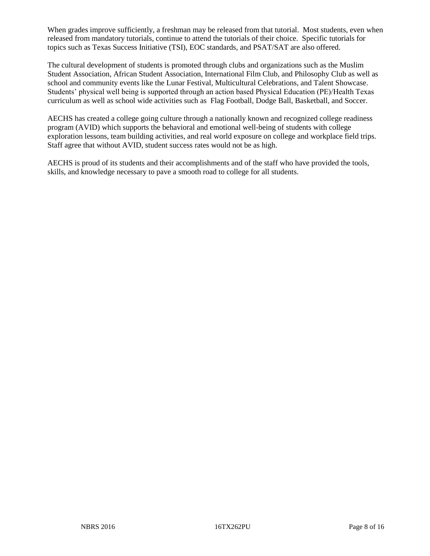When grades improve sufficiently, a freshman may be released from that tutorial. Most students, even when released from mandatory tutorials, continue to attend the tutorials of their choice. Specific tutorials for topics such as Texas Success Initiative (TSI), EOC standards, and PSAT/SAT are also offered.

The cultural development of students is promoted through clubs and organizations such as the Muslim Student Association, African Student Association, International Film Club, and Philosophy Club as well as school and community events like the Lunar Festival, Multicultural Celebrations, and Talent Showcase. Students' physical well being is supported through an action based Physical Education (PE)/Health Texas curriculum as well as school wide activities such as Flag Football, Dodge Ball, Basketball, and Soccer.

AECHS has created a college going culture through a nationally known and recognized college readiness program (AVID) which supports the behavioral and emotional well-being of students with college exploration lessons, team building activities, and real world exposure on college and workplace field trips. Staff agree that without AVID, student success rates would not be as high.

AECHS is proud of its students and their accomplishments and of the staff who have provided the tools, skills, and knowledge necessary to pave a smooth road to college for all students.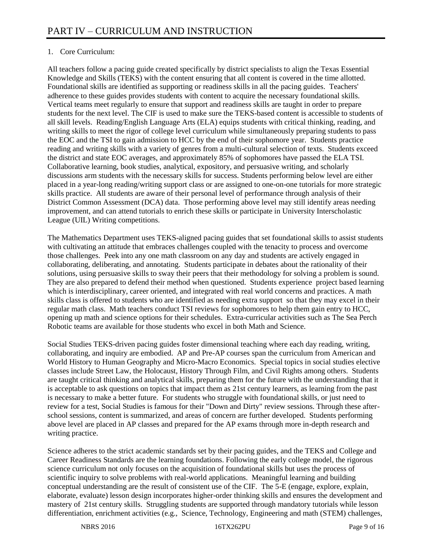# 1. Core Curriculum:

All teachers follow a pacing guide created specifically by district specialists to align the Texas Essential Knowledge and Skills (TEKS) with the content ensuring that all content is covered in the time allotted. Foundational skills are identified as supporting or readiness skills in all the pacing guides. Teachers' adherence to these guides provides students with content to acquire the necessary foundational skills. Vertical teams meet regularly to ensure that support and readiness skills are taught in order to prepare students for the next level. The CIF is used to make sure the TEKS-based content is accessible to students of all skill levels. Reading/English Language Arts (ELA) equips students with critical thinking, reading, and writing skills to meet the rigor of college level curriculum while simultaneously preparing students to pass the EOC and the TSI to gain admission to HCC by the end of their sophomore year. Students practice reading and writing skills with a variety of genres from a multi-cultural selection of texts. Students exceed the district and state EOC averages, and approximately 85% of sophomores have passed the ELA TSI. Collaborative learning, book studies, analytical, expository, and persuasive writing, and scholarly discussions arm students with the necessary skills for success. Students performing below level are either placed in a year-long reading/writing support class or are assigned to one-on-one tutorials for more strategic skills practice. All students are aware of their personal level of performance through analysis of their District Common Assessment (DCA) data. Those performing above level may still identify areas needing improvement, and can attend tutorials to enrich these skills or participate in University Interscholastic League (UIL) Writing competitions.

The Mathematics Department uses TEKS-aligned pacing guides that set foundational skills to assist students with cultivating an attitude that embraces challenges coupled with the tenacity to process and overcome those challenges. Peek into any one math classroom on any day and students are actively engaged in collaborating, deliberating, and annotating. Students participate in debates about the rationality of their solutions, using persuasive skills to sway their peers that their methodology for solving a problem is sound. They are also prepared to defend their method when questioned. Students experience project based learning which is interdisciplinary, career oriented, and integrated with real world concerns and practices. A math skills class is offered to students who are identified as needing extra support so that they may excel in their regular math class. Math teachers conduct TSI reviews for sophomores to help them gain entry to HCC, opening up math and science options for their schedules. Extra-curricular activities such as The Sea Perch Robotic teams are available for those students who excel in both Math and Science.

Social Studies TEKS-driven pacing guides foster dimensional teaching where each day reading, writing, collaborating, and inquiry are embodied. AP and Pre-AP courses span the curriculum from American and World History to Human Geography and Micro-Macro Economics. Special topics in social studies elective classes include Street Law, the Holocaust, History Through Film, and Civil Rights among others. Students are taught critical thinking and analytical skills, preparing them for the future with the understanding that it is acceptable to ask questions on topics that impact them as 21st century learners, as learning from the past is necessary to make a better future. For students who struggle with foundational skills, or just need to review for a test, Social Studies is famous for their "Down and Dirty" review sessions. Through these afterschool sessions, content is summarized, and areas of concern are further developed. Students performing above level are placed in AP classes and prepared for the AP exams through more in-depth research and writing practice.

Science adheres to the strict academic standards set by their pacing guides, and the TEKS and College and Career Readiness Standards are the learning foundations. Following the early college model, the rigorous science curriculum not only focuses on the acquisition of foundational skills but uses the process of scientific inquiry to solve problems with real-world applications. Meaningful learning and building conceptual understanding are the result of consistent use of the CIF. The 5-E (engage, explore, explain, elaborate, evaluate) lesson design incorporates higher-order thinking skills and ensures the development and mastery of 21st century skills. Struggling students are supported through mandatory tutorials while lesson differentiation, enrichment activities (e.g., Science, Technology, Engineering and math (STEM) challenges,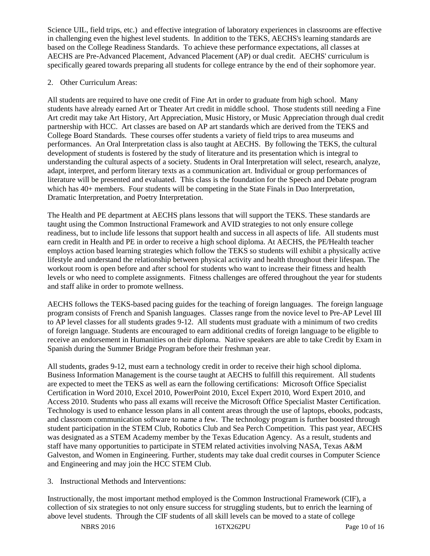Science UIL, field trips, etc.) and effective integration of laboratory experiences in classrooms are effective in challenging even the highest level students. In addition to the TEKS, AECHS's learning standards are based on the College Readiness Standards. To achieve these performance expectations, all classes at AECHS are Pre-Advanced Placement, Advanced Placement (AP) or dual credit. AECHS' curriculum is specifically geared towards preparing all students for college entrance by the end of their sophomore year.

## 2. Other Curriculum Areas:

All students are required to have one credit of Fine Art in order to graduate from high school. Many students have already earned Art or Theater Art credit in middle school. Those students still needing a Fine Art credit may take Art History, Art Appreciation, Music History, or Music Appreciation through dual credit partnership with HCC. Art classes are based on AP art standards which are derived from the TEKS and College Board Standards. These courses offer students a variety of field trips to area museums and performances. An Oral Interpretation class is also taught at AECHS. By following the TEKS, the cultural development of students is fostered by the study of literature and its presentation which is integral to understanding the cultural aspects of a society. Students in Oral Interpretation will select, research, analyze, adapt, interpret, and perform literary texts as a communication art. Individual or group performances of literature will be presented and evaluated. This class is the foundation for the Speech and Debate program which has 40+ members. Four students will be competing in the State Finals in Duo Interpretation, Dramatic Interpretation, and Poetry Interpretation.

The Health and PE department at AECHS plans lessons that will support the TEKS. These standards are taught using the Common Instructional Framework and AVID strategies to not only ensure college readiness, but to include life lessons that support health and success in all aspects of life. All students must earn credit in Health and PE in order to receive a high school diploma. At AECHS, the PE/Health teacher employs action based learning strategies which follow the TEKS so students will exhibit a physically active lifestyle and understand the relationship between physical activity and health throughout their lifespan. The workout room is open before and after school for students who want to increase their fitness and health levels or who need to complete assignments. Fitness challenges are offered throughout the year for students and staff alike in order to promote wellness.

AECHS follows the TEKS-based pacing guides for the teaching of foreign languages. The foreign language program consists of French and Spanish languages. Classes range from the novice level to Pre-AP Level III to AP level classes for all students grades 9-12. All students must graduate with a minimum of two credits of foreign language. Students are encouraged to earn additional credits of foreign language to be eligible to receive an endorsement in Humanities on their diploma. Native speakers are able to take Credit by Exam in Spanish during the Summer Bridge Program before their freshman year.

All students, grades 9-12, must earn a technology credit in order to receive their high school diploma. Business Information Management is the course taught at AECHS to fulfill this requirement. All students are expected to meet the TEKS as well as earn the following certifications: Microsoft Office Specialist Certification in Word 2010, Excel 2010, PowerPoint 2010, Excel Expert 2010, Word Expert 2010, and Access 2010. Students who pass all exams will receive the Microsoft Office Specialist Master Certification. Technology is used to enhance lesson plans in all content areas through the use of laptops, ebooks, podcasts, and classroom communication software to name a few. The technology program is further boosted through student participation in the STEM Club, Robotics Club and Sea Perch Competition. This past year, AECHS was designated as a STEM Academy member by the Texas Education Agency. As a result, students and staff have many opportunities to participate in STEM related activities involving NASA, Texas A&M Galveston, and Women in Engineering. Further, students may take dual credit courses in Computer Science and Engineering and may join the HCC STEM Club.

# 3. Instructional Methods and Interventions:

Instructionally, the most important method employed is the Common Instructional Framework (CIF), a collection of six strategies to not only ensure success for struggling students, but to enrich the learning of above level students. Through the CIF students of all skill levels can be moved to a state of college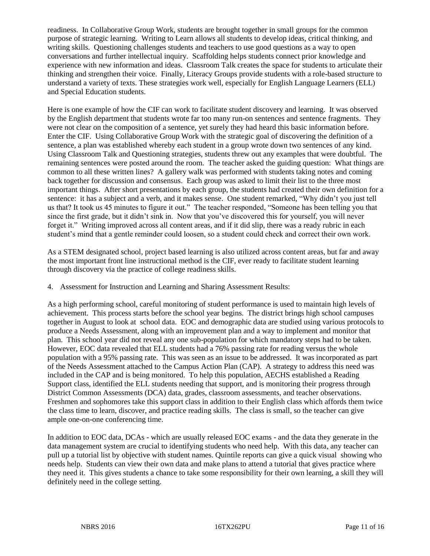readiness. In Collaborative Group Work, students are brought together in small groups for the common purpose of strategic learning. Writing to Learn allows all students to develop ideas, critical thinking, and writing skills. Questioning challenges students and teachers to use good questions as a way to open conversations and further intellectual inquiry. Scaffolding helps students connect prior knowledge and experience with new information and ideas. Classroom Talk creates the space for students to articulate their thinking and strengthen their voice. Finally, Literacy Groups provide students with a role-based structure to understand a variety of texts. These strategies work well, especially for English Language Learners (ELL) and Special Education students.

Here is one example of how the CIF can work to facilitate student discovery and learning. It was observed by the English department that students wrote far too many run-on sentences and sentence fragments. They were not clear on the composition of a sentence, yet surely they had heard this basic information before. Enter the CIF. Using Collaborative Group Work with the strategic goal of discovering the definition of a sentence, a plan was established whereby each student in a group wrote down two sentences of any kind. Using Classroom Talk and Questioning strategies, students threw out any examples that were doubtful. The remaining sentences were posted around the room. The teacher asked the guiding question: What things are common to all these written lines? A gallery walk was performed with students taking notes and coming back together for discussion and consensus. Each group was asked to limit their list to the three most important things. After short presentations by each group, the students had created their own definition for a sentence: it has a subject and a verb, and it makes sense. One student remarked, "Why didn't you just tell us that? It took us 45 minutes to figure it out." The teacher responded, "Someone has been telling you that since the first grade, but it didn't sink in. Now that you've discovered this for yourself, you will never forget it." Writing improved across all content areas, and if it did slip, there was a ready rubric in each student's mind that a gentle reminder could loosen, so a student could check and correct their own work.

As a STEM designated school, project based learning is also utilized across content areas, but far and away the most important front line instructional method is the CIF, ever ready to facilitate student learning through discovery via the practice of college readiness skills.

4. Assessment for Instruction and Learning and Sharing Assessment Results:

As a high performing school, careful monitoring of student performance is used to maintain high levels of achievement. This process starts before the school year begins. The district brings high school campuses together in August to look at school data. EOC and demographic data are studied using various protocols to produce a Needs Assessment, along with an improvement plan and a way to implement and monitor that plan. This school year did not reveal any one sub-population for which mandatory steps had to be taken. However, EOC data revealed that ELL students had a 76% passing rate for reading versus the whole population with a 95% passing rate. This was seen as an issue to be addressed. It was incorporated as part of the Needs Assessment attached to the Campus Action Plan (CAP). A strategy to address this need was included in the CAP and is being monitored. To help this population, AECHS established a Reading Support class, identified the ELL students needing that support, and is monitoring their progress through District Common Assessments (DCA) data, grades, classroom assessments, and teacher observations. Freshmen and sophomores take this support class in addition to their English class which affords them twice the class time to learn, discover, and practice reading skills. The class is small, so the teacher can give ample one-on-one conferencing time.

In addition to EOC data, DCAs - which are usually released EOC exams - and the data they generate in the data management system are crucial to identifying students who need help. With this data, any teacher can pull up a tutorial list by objective with student names. Quintile reports can give a quick visual showing who needs help. Students can view their own data and make plans to attend a tutorial that gives practice where they need it. This gives students a chance to take some responsibility for their own learning, a skill they will definitely need in the college setting.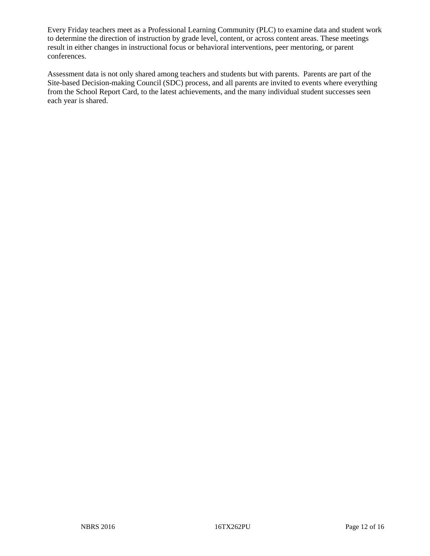Every Friday teachers meet as a Professional Learning Community (PLC) to examine data and student work to determine the direction of instruction by grade level, content, or across content areas. These meetings result in either changes in instructional focus or behavioral interventions, peer mentoring, or parent conferences.

Assessment data is not only shared among teachers and students but with parents. Parents are part of the Site-based Decision-making Council (SDC) process, and all parents are invited to events where everything from the School Report Card, to the latest achievements, and the many individual student successes seen each year is shared.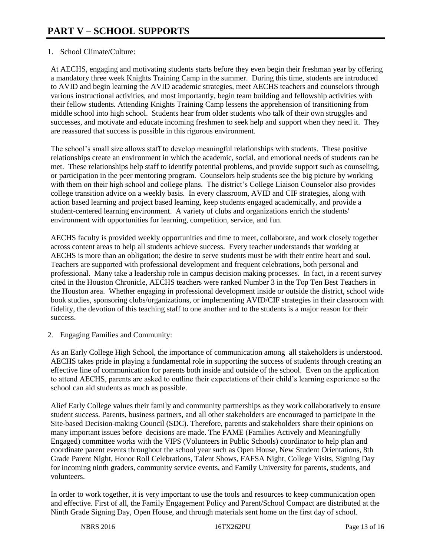## 1. School Climate/Culture:

At AECHS, engaging and motivating students starts before they even begin their freshman year by offering a mandatory three week Knights Training Camp in the summer. During this time, students are introduced to AVID and begin learning the AVID academic strategies, meet AECHS teachers and counselors through various instructional activities, and most importantly, begin team building and fellowship activities with their fellow students. Attending Knights Training Camp lessens the apprehension of transitioning from middle school into high school. Students hear from older students who talk of their own struggles and successes, and motivate and educate incoming freshmen to seek help and support when they need it. They are reassured that success is possible in this rigorous environment.

The school's small size allows staff to develop meaningful relationships with students. These positive relationships create an environment in which the academic, social, and emotional needs of students can be met. These relationships help staff to identify potential problems, and provide support such as counseling, or participation in the peer mentoring program. Counselors help students see the big picture by working with them on their high school and college plans. The district's College Liaison Counselor also provides college transition advice on a weekly basis. In every classroom, AVID and CIF strategies, along with action based learning and project based learning, keep students engaged academically, and provide a student-centered learning environment. A variety of clubs and organizations enrich the students' environment with opportunities for learning, competition, service, and fun.

AECHS faculty is provided weekly opportunities and time to meet, collaborate, and work closely together across content areas to help all students achieve success. Every teacher understands that working at AECHS is more than an obligation; the desire to serve students must be with their entire heart and soul. Teachers are supported with professional development and frequent celebrations, both personal and professional. Many take a leadership role in campus decision making processes. In fact, in a recent survey cited in the Houston Chronicle, AECHS teachers were ranked Number 3 in the Top Ten Best Teachers in the Houston area. Whether engaging in professional development inside or outside the district, school wide book studies, sponsoring clubs/organizations, or implementing AVID/CIF strategies in their classroom with fidelity, the devotion of this teaching staff to one another and to the students is a major reason for their success.

2. Engaging Families and Community:

As an Early College High School, the importance of communication among all stakeholders is understood. AECHS takes pride in playing a fundamental role in supporting the success of students through creating an effective line of communication for parents both inside and outside of the school. Even on the application to attend AECHS, parents are asked to outline their expectations of their child's learning experience so the school can aid students as much as possible.

Alief Early College values their family and community partnerships as they work collaboratively to ensure student success. Parents, business partners, and all other stakeholders are encouraged to participate in the Site-based Decision-making Council (SDC). Therefore, parents and stakeholders share their opinions on many important issues before decisions are made. The FAME (Families Actively and Meaningfully Engaged) committee works with the VIPS (Volunteers in Public Schools) coordinator to help plan and coordinate parent events throughout the school year such as Open House, New Student Orientations, 8th Grade Parent Night, Honor Roll Celebrations, Talent Shows, FAFSA Night, College Visits, Signing Day for incoming ninth graders, community service events, and Family University for parents, students, and volunteers.

In order to work together, it is very important to use the tools and resources to keep communication open and effective. First of all, the Family Engagement Policy and Parent/School Compact are distributed at the Ninth Grade Signing Day, Open House, and through materials sent home on the first day of school.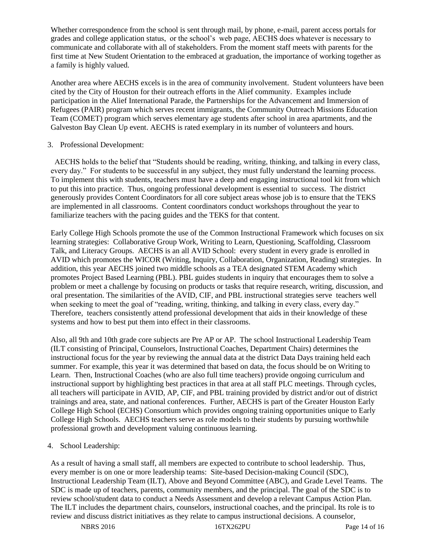Whether correspondence from the school is sent through mail, by phone, e-mail, parent access portals for grades and college application status, or the school's web page, AECHS does whatever is necessary to communicate and collaborate with all of stakeholders. From the moment staff meets with parents for the first time at New Student Orientation to the embraced at graduation, the importance of working together as a family is highly valued.

Another area where AECHS excels is in the area of community involvement. Student volunteers have been cited by the City of Houston for their outreach efforts in the Alief community. Examples include participation in the Alief International Parade, the Partnerships for the Advancement and Immersion of Refugees (PAIR) program which serves recent immigrants, the Community Outreach Missions Education Team (COMET) program which serves elementary age students after school in area apartments, and the Galveston Bay Clean Up event. AECHS is rated exemplary in its number of volunteers and hours.

### 3. Professional Development:

 AECHS holds to the belief that "Students should be reading, writing, thinking, and talking in every class, every day." For students to be successful in any subject, they must fully understand the learning process. To implement this with students, teachers must have a deep and engaging instructional tool kit from which to put this into practice. Thus, ongoing professional development is essential to success. The district generously provides Content Coordinators for all core subject areas whose job is to ensure that the TEKS are implemented in all classrooms. Content coordinators conduct workshops throughout the year to familiarize teachers with the pacing guides and the TEKS for that content.

Early College High Schools promote the use of the Common Instructional Framework which focuses on six learning strategies: Collaborative Group Work, Writing to Learn, Questioning, Scaffolding, Classroom Talk, and Literacy Groups. AECHS is an all AVID School: every student in every grade is enrolled in AVID which promotes the WICOR (Writing, Inquiry, Collaboration, Organization, Reading) strategies. In addition, this year AECHS joined two middle schools as a TEA designated STEM Academy which promotes Project Based Learning (PBL). PBL guides students in inquiry that encourages them to solve a problem or meet a challenge by focusing on products or tasks that require research, writing, discussion, and oral presentation. The similarities of the AVID, CIF, and PBL instructional strategies serve teachers well when seeking to meet the goal of "reading, writing, thinking, and talking in every class, every day." Therefore, teachers consistently attend professional development that aids in their knowledge of these systems and how to best put them into effect in their classrooms.

Also, all 9th and 10th grade core subjects are Pre AP or AP. The school Instructional Leadership Team (ILT consisting of Principal, Counselors, Instructional Coaches, Department Chairs) determines the instructional focus for the year by reviewing the annual data at the district Data Days training held each summer. For example, this year it was determined that based on data, the focus should be on Writing to Learn. Then, Instructional Coaches (who are also full time teachers) provide ongoing curriculum and instructional support by highlighting best practices in that area at all staff PLC meetings. Through cycles, all teachers will participate in AVID, AP, CIF, and PBL training provided by district and/or out of district trainings and area, state, and national conferences. Further, AECHS is part of the Greater Houston Early College High School (ECHS) Consortium which provides ongoing training opportunities unique to Early College High Schools. AECHS teachers serve as role models to their students by pursuing worthwhile professional growth and development valuing continuous learning.

#### 4. School Leadership:

As a result of having a small staff, all members are expected to contribute to school leadership. Thus, every member is on one or more leadership teams: Site-based Decision-making Council (SDC), Instructional Leadership Team (ILT), Above and Beyond Committee (ABC), and Grade Level Teams. The SDC is made up of teachers, parents, community members, and the principal. The goal of the SDC is to review school/student data to conduct a Needs Assessment and develop a relevant Campus Action Plan. The ILT includes the department chairs, counselors, instructional coaches, and the principal. Its role is to review and discuss district initiatives as they relate to campus instructional decisions. A counselor,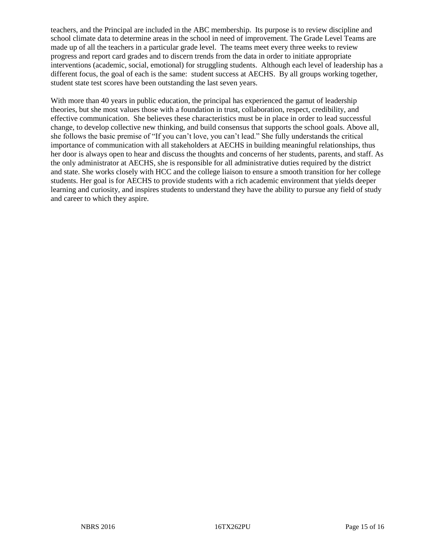teachers, and the Principal are included in the ABC membership. Its purpose is to review discipline and school climate data to determine areas in the school in need of improvement. The Grade Level Teams are made up of all the teachers in a particular grade level. The teams meet every three weeks to review progress and report card grades and to discern trends from the data in order to initiate appropriate interventions (academic, social, emotional) for struggling students. Although each level of leadership has a different focus, the goal of each is the same: student success at AECHS. By all groups working together, student state test scores have been outstanding the last seven years.

With more than 40 years in public education, the principal has experienced the gamut of leadership theories, but she most values those with a foundation in trust, collaboration, respect, credibility, and effective communication. She believes these characteristics must be in place in order to lead successful change, to develop collective new thinking, and build consensus that supports the school goals. Above all, she follows the basic premise of "If you can't love, you can't lead." She fully understands the critical importance of communication with all stakeholders at AECHS in building meaningful relationships, thus her door is always open to hear and discuss the thoughts and concerns of her students, parents, and staff. As the only administrator at AECHS, she is responsible for all administrative duties required by the district and state. She works closely with HCC and the college liaison to ensure a smooth transition for her college students. Her goal is for AECHS to provide students with a rich academic environment that yields deeper learning and curiosity, and inspires students to understand they have the ability to pursue any field of study and career to which they aspire.